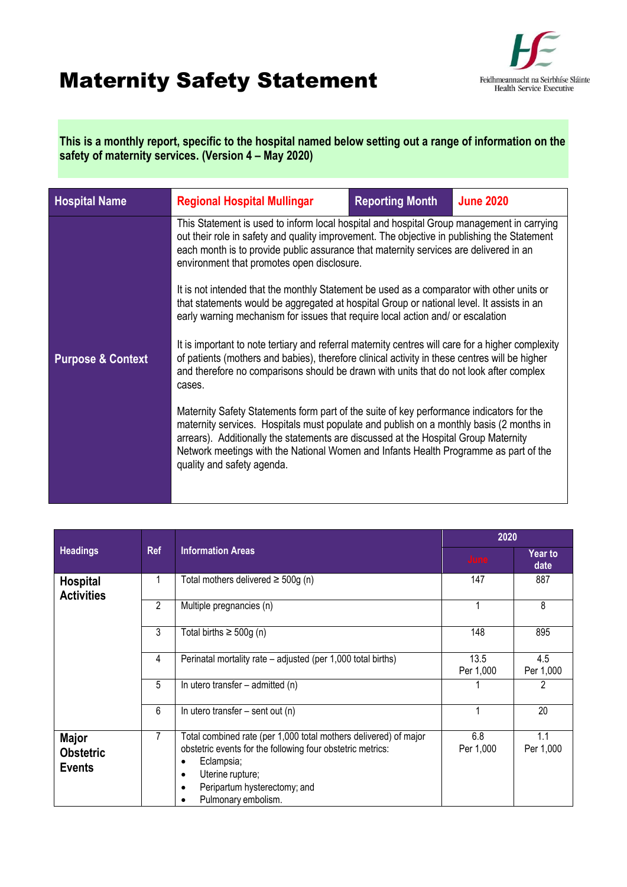## Maternity Safety Statement



**This is a monthly report, specific to the hospital named below setting out a range of information on the safety of maternity services. (Version 4 – May 2020)**

| <b>Hospital Name</b>         | <b>Regional Hospital Mullingar</b>                                                                                                                                                                                                                                                                                                                                                               | <b>Reporting Month</b> | <b>June 2020</b> |  |  |
|------------------------------|--------------------------------------------------------------------------------------------------------------------------------------------------------------------------------------------------------------------------------------------------------------------------------------------------------------------------------------------------------------------------------------------------|------------------------|------------------|--|--|
|                              | This Statement is used to inform local hospital and hospital Group management in carrying<br>out their role in safety and quality improvement. The objective in publishing the Statement<br>each month is to provide public assurance that maternity services are delivered in an<br>environment that promotes open disclosure.                                                                  |                        |                  |  |  |
|                              | It is not intended that the monthly Statement be used as a comparator with other units or<br>that statements would be aggregated at hospital Group or national level. It assists in an<br>early warning mechanism for issues that require local action and/ or escalation                                                                                                                        |                        |                  |  |  |
| <b>Purpose &amp; Context</b> | It is important to note tertiary and referral maternity centres will care for a higher complexity<br>of patients (mothers and babies), therefore clinical activity in these centres will be higher<br>and therefore no comparisons should be drawn with units that do not look after complex<br>cases.                                                                                           |                        |                  |  |  |
|                              | Maternity Safety Statements form part of the suite of key performance indicators for the<br>maternity services. Hospitals must populate and publish on a monthly basis (2 months in<br>arrears). Additionally the statements are discussed at the Hospital Group Maternity<br>Network meetings with the National Women and Infants Health Programme as part of the<br>quality and safety agenda. |                        |                  |  |  |
|                              |                                                                                                                                                                                                                                                                                                                                                                                                  |                        |                  |  |  |

|                                                    |   |                                                                                                                                                                                                                                                                | 2020              |                  |
|----------------------------------------------------|---|----------------------------------------------------------------------------------------------------------------------------------------------------------------------------------------------------------------------------------------------------------------|-------------------|------------------|
| <b>Information Areas</b><br>Headings<br><b>Ref</b> |   |                                                                                                                                                                                                                                                                | June              | Year to<br>date  |
| <b>Hospital</b><br><b>Activities</b>               |   | Total mothers delivered $\geq$ 500g (n)                                                                                                                                                                                                                        | 147               | 887              |
|                                                    | 2 | Multiple pregnancies (n)                                                                                                                                                                                                                                       |                   | 8                |
|                                                    | 3 | Total births $\geq 500g$ (n)                                                                                                                                                                                                                                   | 148               | 895              |
|                                                    | 4 | Perinatal mortality rate – adjusted (per 1,000 total births)                                                                                                                                                                                                   | 13.5<br>Per 1,000 | 4.5<br>Per 1,000 |
|                                                    | 5 | In utero transfer $-$ admitted (n)                                                                                                                                                                                                                             |                   | 2                |
|                                                    | 6 | In utero transfer $-$ sent out (n)                                                                                                                                                                                                                             |                   | 20               |
| <b>Major</b><br><b>Obstetric</b><br><b>Events</b>  | 7 | Total combined rate (per 1,000 total mothers delivered) of major<br>obstetric events for the following four obstetric metrics:<br>Eclampsia;<br>$\bullet$<br>Uterine rupture;<br>$\bullet$<br>Peripartum hysterectomy; and<br>$\bullet$<br>Pulmonary embolism. | 6.8<br>Per 1,000  | 1.1<br>Per 1,000 |